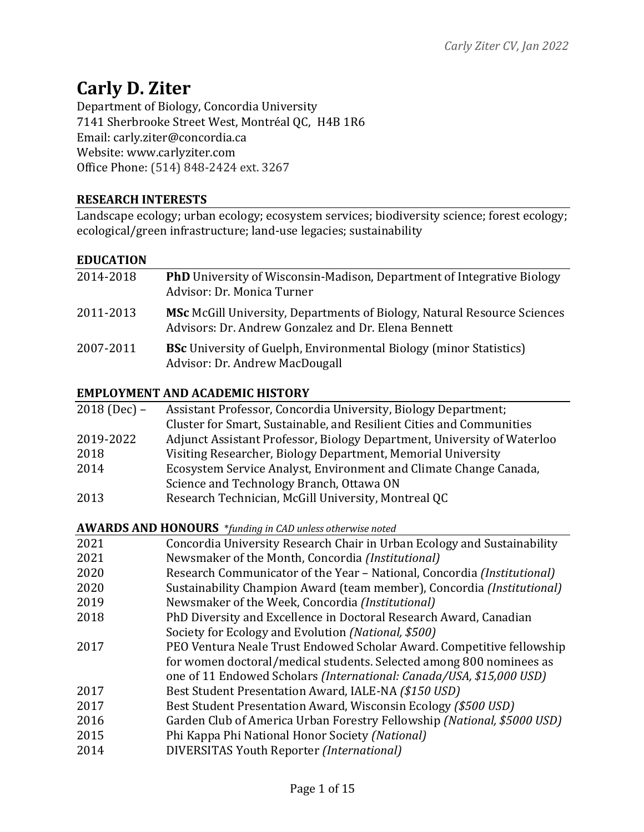# **Carly D. Ziter**

Department of Biology, Concordia University 7141 Sherbrooke Street West, Montréal QC, H4B 1R6 Email: carly.ziter@concordia.ca Website: www.carlyziter.com Office Phone: (514) 848-2424 ext. 3267

## **RESEARCH INTERESTS**

Landscape ecology; urban ecology; ecosystem services; biodiversity science; forest ecology; ecological/green infrastructure; land-use legacies; sustainability

## **EDUCATION**

| 2014-2018 | <b>PhD</b> University of Wisconsin-Madison, Department of Integrative Biology<br>Advisor: Dr. Monica Turner                            |
|-----------|----------------------------------------------------------------------------------------------------------------------------------------|
| 2011-2013 | <b>MSc</b> McGill University, Departments of Biology, Natural Resource Sciences<br>Advisors: Dr. Andrew Gonzalez and Dr. Elena Bennett |
| 2007-2011 | <b>BSc</b> University of Guelph, Environmental Biology (minor Statistics)<br>Advisor: Dr. Andrew MacDougall                            |

#### **EMPLOYMENT AND ACADEMIC HISTORY**

| $2018$ (Dec) – | Assistant Professor, Concordia University, Biology Department;          |
|----------------|-------------------------------------------------------------------------|
|                | Cluster for Smart, Sustainable, and Resilient Cities and Communities    |
| 2019-2022      | Adjunct Assistant Professor, Biology Department, University of Waterloo |
| 2018           | Visiting Researcher, Biology Department, Memorial University            |
| 2014           | Ecosystem Service Analyst, Environment and Climate Change Canada,       |
|                | Science and Technology Branch, Ottawa ON                                |
| 2013           | Research Technician, McGill University, Montreal QC                     |
|                |                                                                         |

**AWARDS AND HONOURS** \**funding in CAD unless otherwise noted* 

| 2021 | Concordia University Research Chair in Urban Ecology and Sustainability |
|------|-------------------------------------------------------------------------|
| 2021 | Newsmaker of the Month, Concordia (Institutional)                       |
| 2020 | Research Communicator of the Year - National, Concordia (Institutional) |
| 2020 | Sustainability Champion Award (team member), Concordia (Institutional)  |
| 2019 | Newsmaker of the Week, Concordia (Institutional)                        |
| 2018 | PhD Diversity and Excellence in Doctoral Research Award, Canadian       |
|      | Society for Ecology and Evolution (National, \$500)                     |
| 2017 | PEO Ventura Neale Trust Endowed Scholar Award. Competitive fellowship   |
|      | for women doctoral/medical students. Selected among 800 nominees as     |
|      | one of 11 Endowed Scholars (International: Canada/USA, \$15,000 USD)    |
| 2017 | Best Student Presentation Award, IALE-NA (\$150 USD)                    |
| 2017 | Best Student Presentation Award, Wisconsin Ecology (\$500 USD)          |
| 2016 | Garden Club of America Urban Forestry Fellowship (National, \$5000 USD) |
| 2015 | Phi Kappa Phi National Honor Society (National)                         |
| 2014 | DIVERSITAS Youth Reporter (International)                               |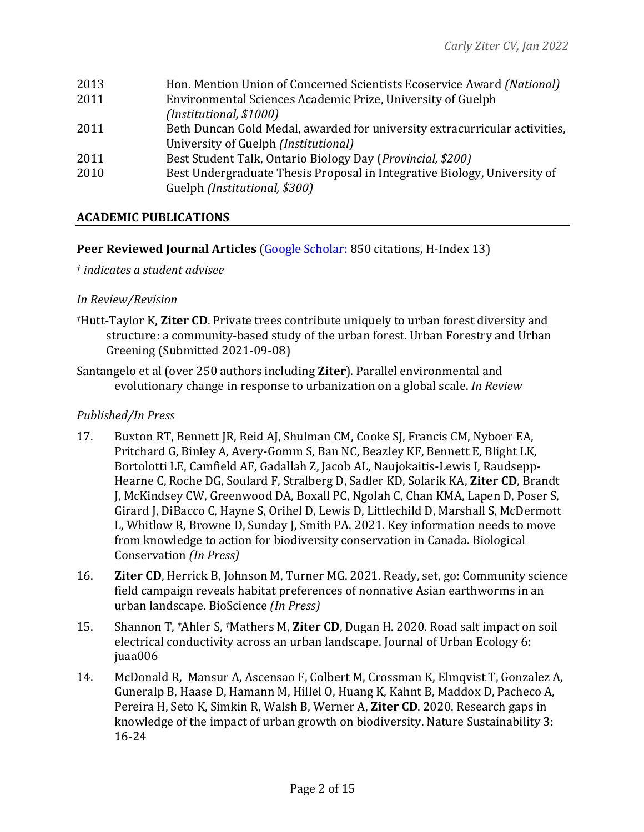| Hon. Mention Union of Concerned Scientists Ecoservice Award (National)     |
|----------------------------------------------------------------------------|
| Environmental Sciences Academic Prize, University of Guelph                |
| (Institutional, \$1000)                                                    |
| Beth Duncan Gold Medal, awarded for university extracurricular activities, |
| University of Guelph <i>(Institutional)</i>                                |
| Best Student Talk, Ontario Biology Day (Provincial, \$200)                 |
| Best Undergraduate Thesis Proposal in Integrative Biology, University of   |
| Guelph (Institutional, \$300)                                              |
|                                                                            |

# **ACADEMIC PUBLICATIONS**

## **Peer Reviewed Journal Articles** (Google Scholar: 850 citations, H-Index 13)

*† indicates a student advisee*

## *In Review/Revision*

- *†*Hutt-Taylor K, **Ziter CD**. Private trees contribute uniquely to urban forest diversity and structure: a community-based study of the urban forest. Urban Forestry and Urban Greening (Submitted 2021-09-08)
- Santangelo et al (over 250 authors including **Ziter**). Parallel environmental and evolutionary change in response to urbanization on a global scale. *In Review*

## *Published/In Press*

- 17. Buxton RT, Bennett JR, Reid AJ, Shulman CM, Cooke SJ, Francis CM, Nyboer EA, Pritchard G, Binley A, Avery-Gomm S, Ban NC, Beazley KF, Bennett E, Blight LK, Bortolotti LE, Camfield AF, Gadallah Z, Jacob AL, Naujokaitis-Lewis I, Raudsepp-Hearne C, Roche DG, Soulard F, Stralberg D, Sadler KD, Solarik KA, **Ziter CD**, Brandt J, McKindsey CW, Greenwood DA, Boxall PC, Ngolah C, Chan KMA, Lapen D, Poser S, Girard J, DiBacco C, Hayne S, Orihel D, Lewis D, Littlechild D, Marshall S, McDermott L, Whitlow R, Browne D, Sunday J, Smith PA. 2021. Key information needs to move from knowledge to action for biodiversity conservation in Canada. Biological Conservation *(In Press)*
- 16. **Ziter CD**, Herrick B, Johnson M, Turner MG. 2021. Ready, set, go: Community science field campaign reveals habitat preferences of nonnative Asian earthworms in an urban landscape. BioScience *(In Press)*
- 15. Shannon T, <sup>†</sup>Ahler S, <sup>†</sup>Mathers M, **Ziter CD**, Dugan H. 2020. Road salt impact on soil electrical conductivity across an urban landscape. Journal of Urban Ecology 6: juaa006
- 14. McDonald R, Mansur A, Ascensao F, Colbert M, Crossman K, Elmqvist T, Gonzalez A, Guneralp B, Haase D, Hamann M, Hillel O, Huang K, Kahnt B, Maddox D, Pacheco A, Pereira H, Seto K, Simkin R, Walsh B, Werner A, **Ziter CD**. 2020. Research gaps in knowledge of the impact of urban growth on biodiversity. Nature Sustainability 3: 16-24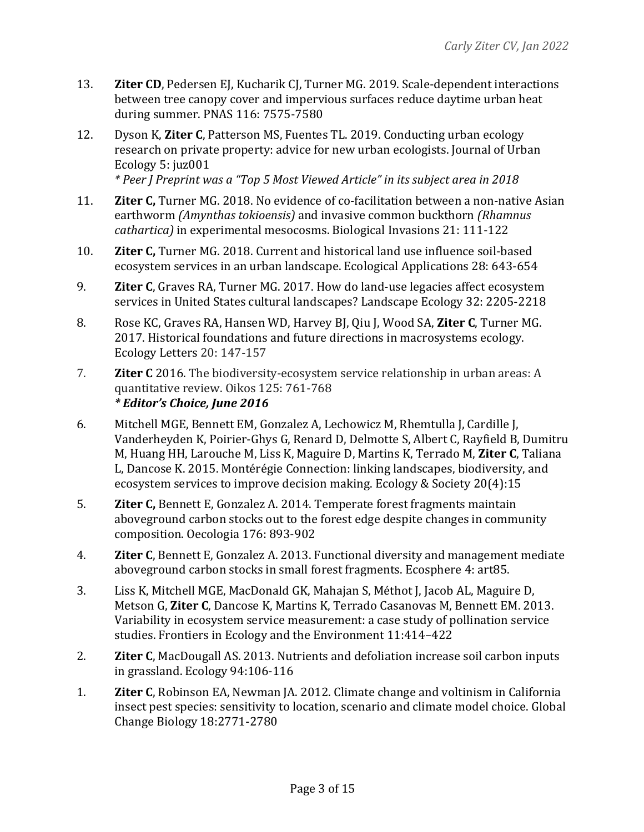- 13. **Ziter CD**, Pedersen EJ, Kucharik CJ, Turner MG. 2019. Scale-dependent interactions between tree canopy cover and impervious surfaces reduce daytime urban heat during summer. PNAS 116: 7575-7580
- 12. Dyson K, **Ziter C**, Patterson MS, Fuentes TL. 2019. Conducting urban ecology research on private property: advice for new urban ecologists. Journal of Urban Ecology 5: juz001 *\* Peer J Preprint was a "Top 5 Most Viewed Article" in its subject area in 2018*
- 11. **Ziter C,** Turner MG. 2018. No evidence of co-facilitation between a non-native Asian earthworm *(Amynthas tokioensis)* and invasive common buckthorn *(Rhamnus cathartica*) in experimental mesocosms. Biological Invasions 21: 111-122
- 10. **Ziter C,** Turner MG. 2018. Current and historical land use influence soil-based ecosystem services in an urban landscape. Ecological Applications 28: 643-654
- 9. **Ziter C**, Graves RA, Turner MG. 2017. How do land-use legacies affect ecosystem services in United States cultural landscapes? Landscape Ecology 32: 2205-2218
- 8. Rose KC, Graves RA, Hansen WD, Harvey BJ, Qiu J, Wood SA, **Ziter C**, Turner MG. 2017. Historical foundations and future directions in macrosystems ecology. Ecology Letters 20: 147-157
- 7. **Ziter C** 2016. The biodiversity-ecosystem service relationship in urban areas: A quantitative review. Oikos 125: 761-768 *\* Editor's Choice, June 2016*
- 6. Mitchell MGE, Bennett EM, Gonzalez A, Lechowicz M, Rhemtulla J, Cardille J, Vanderheyden K, Poirier-Ghys G, Renard D, Delmotte S, Albert C, Rayfield B, Dumitru M, Huang HH, Larouche M, Liss K, Maguire D, Martins K, Terrado M, Ziter C, Taliana L, Dancose K. 2015. Montérégie Connection: linking landscapes, biodiversity, and ecosystem services to improve decision making. Ecology & Society 20(4):15
- 5. **Ziter C,** Bennett E, Gonzalez A. 2014. Temperate forest fragments maintain aboveground carbon stocks out to the forest edge despite changes in community composition. Oecologia 176: 893-902
- 4. **Ziter C**, Bennett E, Gonzalez A. 2013. Functional diversity and management mediate aboveground carbon stocks in small forest fragments. Ecosphere 4: art85.
- 3. Liss K, Mitchell MGE, MacDonald GK, Mahajan S, Méthot J, Jacob AL, Maguire D, Metson G, Ziter C, Dancose K, Martins K, Terrado Casanovas M, Bennett EM. 2013. Variability in ecosystem service measurement: a case study of pollination service studies. Frontiers in Ecology and the Environment 11:414-422
- 2. **Ziter C**, MacDougall AS. 2013. Nutrients and defoliation increase soil carbon inputs in grassland. Ecology 94:106-116
- 1. **Ziter C**, Robinson EA, Newman JA. 2012. Climate change and voltinism in California insect pest species: sensitivity to location, scenario and climate model choice. Global Change Biology 18:2771-2780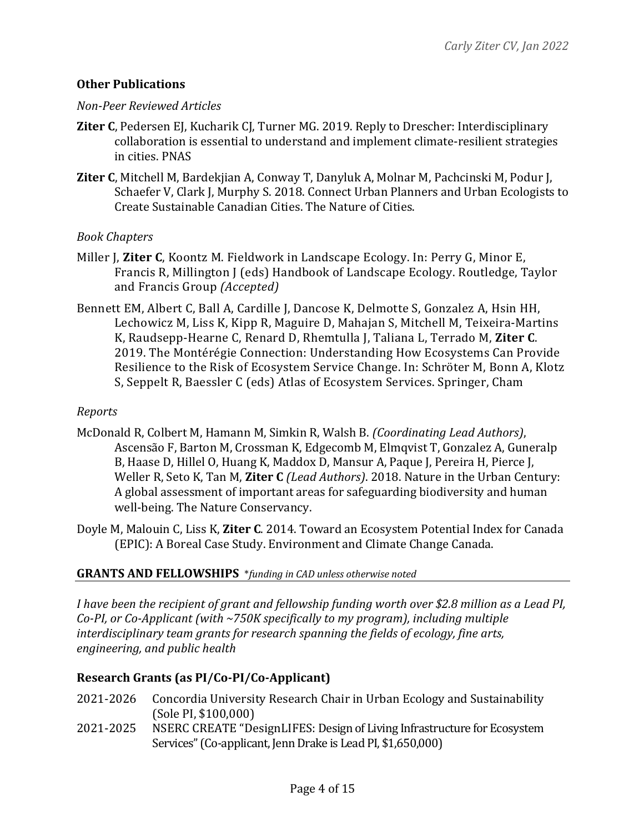## **Other Publications**

#### *Non-Peer Reviewed Articles*

- **Ziter C**, Pedersen EJ, Kucharik CJ, Turner MG. 2019. Reply to Drescher: Interdisciplinary collaboration is essential to understand and implement climate-resilient strategies in cities. PNAS
- **Ziter C**, Mitchell M, Bardekjian A, Conway T, Danyluk A, Molnar M, Pachcinski M, Podur J, Schaefer V, Clark J, Murphy S. 2018. Connect Urban Planners and Urban Ecologists to Create Sustainable Canadian Cities. The Nature of Cities.

## *Book Chapters*

- Miller J. Ziter C. Koontz M. Fieldwork in Landscape Ecology. In: Perry G. Minor E. Francis R, Millington J (eds) Handbook of Landscape Ecology. Routledge, Taylor and Francis Group *(Accepted)*
- Bennett EM, Albert C, Ball A, Cardille J, Dancose K, Delmotte S, Gonzalez A, Hsin HH, Lechowicz M, Liss K, Kipp R, Maguire D, Mahajan S, Mitchell M, Teixeira-Martins K, Raudsepp-Hearne C, Renard D, Rhemtulla J, Taliana L, Terrado M, Ziter C. 2019. The Montérégie Connection: Understanding How Ecosystems Can Provide Resilience to the Risk of Ecosystem Service Change. In: Schröter M, Bonn A, Klotz S, Seppelt R, Baessler C (eds) Atlas of Ecosystem Services. Springer, Cham

## *Reports*

- McDonald R, Colbert M, Hamann M, Simkin R, Walsh B. *(Coordinating Lead Authors)*, Ascensão F, Barton M, Crossman K, Edgecomb M, Elmqvist T, Gonzalez A, Guneralp B, Haase D, Hillel O, Huang K, Maddox D, Mansur A, Paque J, Pereira H, Pierce J, Weller R, Seto K, Tan M, Ziter C *(Lead Authors)*. 2018. Nature in the Urban Century: A global assessment of important areas for safeguarding biodiversity and human well-being. The Nature Conservancy.
- Doyle M, Malouin C, Liss K, **Ziter C**. 2014. Toward an Ecosystem Potential Index for Canada (EPIC): A Boreal Case Study. Environment and Climate Change Canada.

## **GRANTS AND FELLOWSHIPS** \*funding in CAD unless otherwise noted

*I* have been the recipient of grant and fellowship funding worth over \$2.8 million as a Lead PI, Co-PI, or Co-Applicant (with ~750K specifically to my program), including multiple *interdisciplinary team grants for research spanning the fields of ecology, fine arts, engineering, and public health*

# **Research Grants (as PI/Co-PI/Co-Applicant)**

- 2021-2026 Concordia University Research Chair in Urban Ecology and Sustainability (Sole PI, \$100,000)
- 2021-2025 NSERC CREATE "DesignLIFES: Design of Living Infrastructure for Ecosystem Services" (Co-applicant, Jenn Drake is Lead PI, \$1,650,000)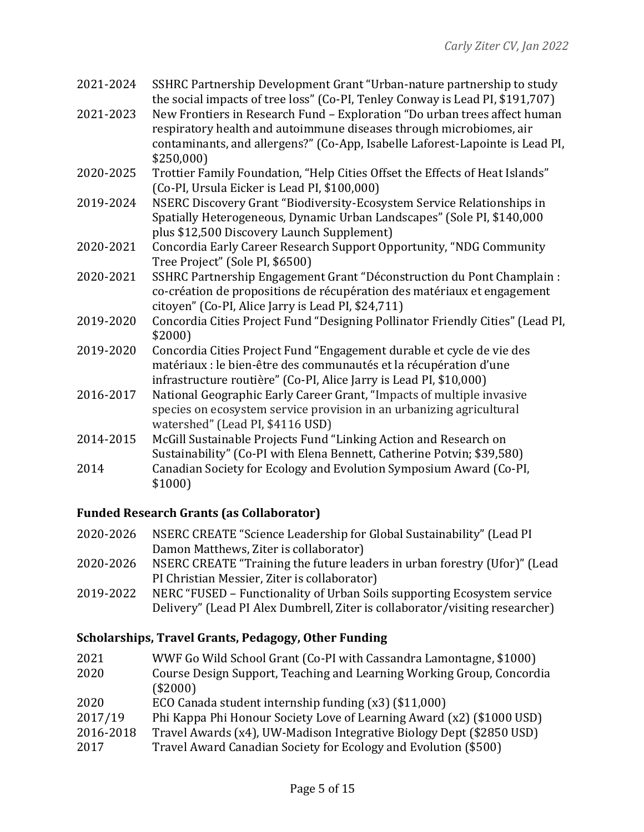- 2021-2024 SSHRC Partnership Development Grant "Urban-nature partnership to study the social impacts of tree loss" (Co-PI, Tenley Conway is Lead PI, \$191,707)
- 2021-2023 New Frontiers in Research Fund Exploration "Do urban trees affect human respiratory health and autoimmune diseases through microbiomes, air contaminants, and allergens?" (Co-App, Isabelle Laforest-Lapointe is Lead PI, \$250,000)
- 2020-2025 Trottier Family Foundation, "Help Cities Offset the Effects of Heat Islands" (Co-PI, Ursula Eicker is Lead PI, \$100,000)
- 2019-2024 NSERC Discovery Grant "Biodiversity-Ecosystem Service Relationships in Spatially Heterogeneous, Dynamic Urban Landscapes" (Sole PI, \$140,000 plus \$12,500 Discovery Launch Supplement)
- 2020-2021 Concordia Early Career Research Support Opportunity, "NDG Community Tree Project" (Sole PI, \$6500)
- 2020-2021 SSHRC Partnership Engagement Grant "Déconstruction du Pont Champlain : co-création de propositions de récupération des matériaux et engagement citoyen" (Co-PI, Alice Jarry is Lead PI, \$24,711)
- 2019-2020 Concordia Cities Project Fund "Designing Pollinator Friendly Cities" (Lead PI, \$2000)
- 2019-2020 Concordia Cities Project Fund "Engagement durable et cycle de vie des matériaux : le bien-être des communautés et la récupération d'une infrastructure routière" (Co-PI, Alice Jarry is Lead PI, \$10,000)
- 2016-2017 National Geographic Early Career Grant, "Impacts of multiple invasive species on ecosystem service provision in an urbanizing agricultural watershed" (Lead PI, \$4116 USD)
- 2014-2015 McGill Sustainable Projects Fund "Linking Action and Research on Sustainability" (Co-PI with Elena Bennett, Catherine Potvin; \$39,580) 2014 Canadian Society for Ecology and Evolution Symposium Award (Co-PI, \$1000)

# **Funded Research Grants (as Collaborator)**

- 2020-2026 NSERC CREATE "Science Leadership for Global Sustainability" (Lead PI Damon Matthews, Ziter is collaborator)
- 2020-2026 NSERC CREATE "Training the future leaders in urban forestry (Ufor)" (Lead PI Christian Messier, Ziter is collaborator)
- 2019-2022 NERC "FUSED Functionality of Urban Soils supporting Ecosystem service Delivery" (Lead PI Alex Dumbrell, Ziter is collaborator/visiting researcher)

# **Scholarships, Travel Grants, Pedagogy, Other Funding**

2021 WWF Go Wild School Grant (Co-PI with Cassandra Lamontagne, \$1000) 2020 Course Design Support, Teaching and Learning Working Group, Concordia (\$2000) 2020 ECO Canada student internship funding (x3) (\$11,000) 2017/19 Phi Kappa Phi Honour Society Love of Learning Award (x2) (\$1000 USD) 2016-2018 Travel Awards (x4), UW-Madison Integrative Biology Dept (\$2850 USD) 2017 Travel Award Canadian Society for Ecology and Evolution (\$500)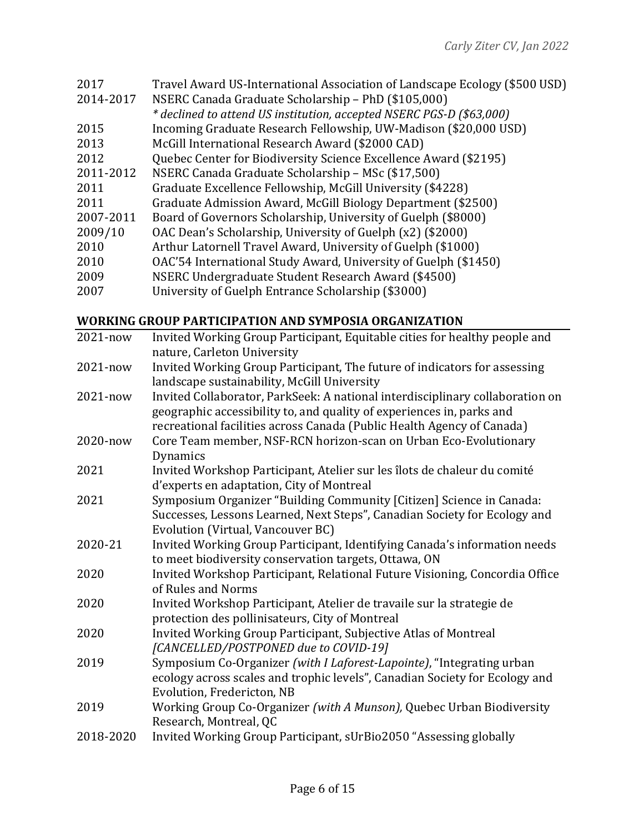| 2017      | Travel Award US-International Association of Landscape Ecology (\$500 USD) |
|-----------|----------------------------------------------------------------------------|
| 2014-2017 | NSERC Canada Graduate Scholarship - PhD (\$105,000)                        |
|           | * declined to attend US institution, accepted NSERC PGS-D (\$63,000)       |
| 2015      | Incoming Graduate Research Fellowship, UW-Madison (\$20,000 USD)           |
| 2013      | McGill International Research Award (\$2000 CAD)                           |
| 2012      | Quebec Center for Biodiversity Science Excellence Award (\$2195)           |
| 2011-2012 | NSERC Canada Graduate Scholarship - MSc (\$17,500)                         |
| 2011      | Graduate Excellence Fellowship, McGill University (\$4228)                 |
| 2011      | Graduate Admission Award, McGill Biology Department (\$2500)               |
| 2007-2011 | Board of Governors Scholarship, University of Guelph (\$8000)              |
| 2009/10   | OAC Dean's Scholarship, University of Guelph (x2) (\$2000)                 |
| 2010      | Arthur Latornell Travel Award, University of Guelph (\$1000)               |
| 2010      | OAC'54 International Study Award, University of Guelph (\$1450)            |
| 2009      | NSERC Undergraduate Student Research Award (\$4500)                        |
| 2007      | University of Guelph Entrance Scholarship (\$3000)                         |

# **WORKING GROUP PARTICIPATION AND SYMPOSIA ORGANIZATION**

| Invited Working Group Participant, Equitable cities for healthy people and                                                                             |
|--------------------------------------------------------------------------------------------------------------------------------------------------------|
| nature, Carleton University                                                                                                                            |
| Invited Working Group Participant, The future of indicators for assessing                                                                              |
| landscape sustainability, McGill University                                                                                                            |
| Invited Collaborator, ParkSeek: A national interdisciplinary collaboration on<br>geographic accessibility to, and quality of experiences in, parks and |
| recreational facilities across Canada (Public Health Agency of Canada)                                                                                 |
| Core Team member, NSF-RCN horizon-scan on Urban Eco-Evolutionary                                                                                       |
| Dynamics                                                                                                                                               |
| Invited Workshop Participant, Atelier sur les îlots de chaleur du comité                                                                               |
| d'experts en adaptation, City of Montreal                                                                                                              |
| Symposium Organizer "Building Community [Citizen] Science in Canada:                                                                                   |
| Successes, Lessons Learned, Next Steps", Canadian Society for Ecology and                                                                              |
| Evolution (Virtual, Vancouver BC)                                                                                                                      |
| Invited Working Group Participant, Identifying Canada's information needs                                                                              |
| to meet biodiversity conservation targets, Ottawa, ON                                                                                                  |
| Invited Workshop Participant, Relational Future Visioning, Concordia Office<br>of Rules and Norms                                                      |
| Invited Workshop Participant, Atelier de travaile sur la strategie de<br>protection des pollinisateurs, City of Montreal                               |
| Invited Working Group Participant, Subjective Atlas of Montreal                                                                                        |
| [CANCELLED/POSTPONED due to COVID-19]                                                                                                                  |
| Symposium Co-Organizer (with I Laforest-Lapointe), "Integrating urban                                                                                  |
| ecology across scales and trophic levels", Canadian Society for Ecology and                                                                            |
| Evolution, Fredericton, NB                                                                                                                             |
| Working Group Co-Organizer (with A Munson), Quebec Urban Biodiversity                                                                                  |
| Research, Montreal, QC                                                                                                                                 |
| Invited Working Group Participant, sUrBio2050 "Assessing globally                                                                                      |
|                                                                                                                                                        |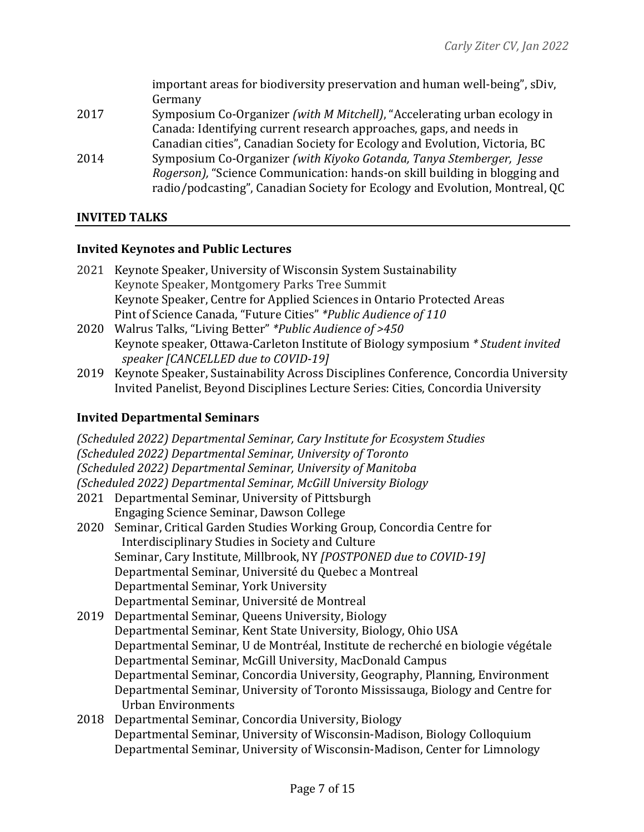|      | important areas for biodiversity preservation and human well-being", sDiv,         |
|------|------------------------------------------------------------------------------------|
|      | Germany                                                                            |
| 2017 | Symposium Co-Organizer (with M Mitchell), "Accelerating urban ecology in           |
|      | Canada: Identifying current research approaches, gaps, and needs in                |
|      | Canadian cities", Canadian Society for Ecology and Evolution, Victoria, BC         |
| 2014 | Symposium Co-Organizer (with Kiyoko Gotanda, Tanya Stemberger, Jesse               |
|      | <i>Rogerson</i> ), "Science Communication: hands-on skill building in blogging and |
|      | radio/podcasting", Canadian Society for Ecology and Evolution, Montreal, QC        |
|      |                                                                                    |

## **INVITED TALKS**

#### **Invited Keynotes and Public Lectures**

- 2021 Keynote Speaker, University of Wisconsin System Sustainability Keynote Speaker, Montgomery Parks Tree Summit Keynote Speaker, Centre for Applied Sciences in Ontario Protected Areas Pint of Science Canada, "Future Cities" \*Public Audience of 110
- 2020 Walrus Talks, "Living Better" \*Public Audience of >450 Keynote speaker, Ottawa-Carleton Institute of Biology symposium \* Student invited *speaker* [CANCELLED due to COVID-19]
- 2019 Keynote Speaker, Sustainability Across Disciplines Conference, Concordia University Invited Panelist, Beyond Disciplines Lecture Series: Cities, Concordia University

## **Invited Departmental Seminars**

*(Scheduled 2022) Departmental Seminar, Cary Institute for Ecosystem Studies (Scheduled 2022) Departmental Seminar, University of Toronto (Scheduled 2022) Departmental Seminar, University of Manitoba (Scheduled 2022) Departmental Seminar, McGill University Biology* 2021 Departmental Seminar, University of Pittsburgh Engaging Science Seminar, Dawson College 2020 Seminar, Critical Garden Studies Working Group, Concordia Centre for Interdisciplinary Studies in Society and Culture Seminar, Cary Institute, Millbrook, NY *[POSTPONED due to COVID-19]* Departmental Seminar, Université du Quebec a Montreal Departmental Seminar, York University Departmental Seminar, Université de Montreal 2019 Departmental Seminar, Queens University, Biology Departmental Seminar, Kent State University, Biology, Ohio USA Departmental Seminar, U de Montréal, Institute de recherché en biologie végétale Departmental Seminar, McGill University, MacDonald Campus Departmental Seminar, Concordia University, Geography, Planning, Environment Departmental Seminar, University of Toronto Mississauga, Biology and Centre for Urban Environments 2018 Departmental Seminar, Concordia University, Biology Departmental Seminar, University of Wisconsin-Madison, Biology Colloquium

Departmental Seminar, University of Wisconsin-Madison, Center for Limnology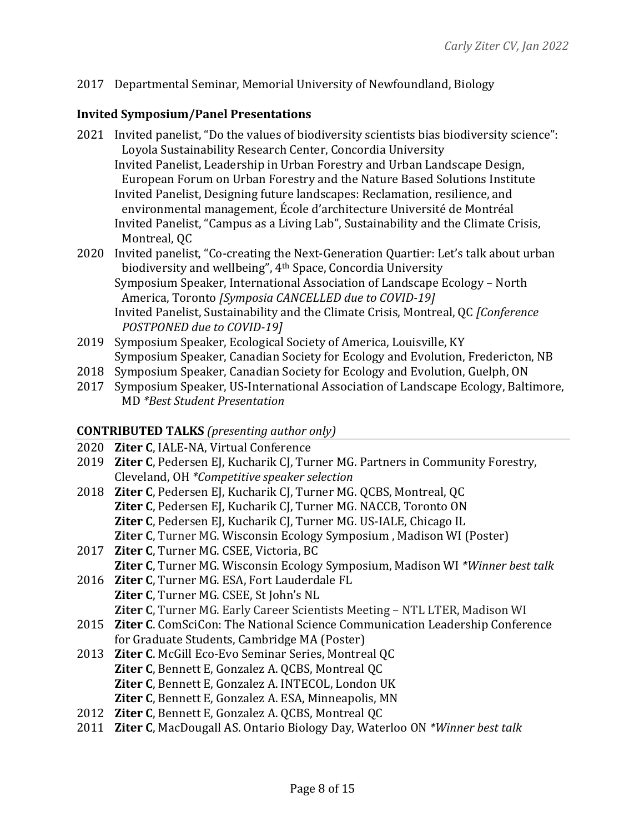## 2017 Departmental Seminar, Memorial University of Newfoundland, Biology

## **Invited Symposium/Panel Presentations**

- 2021 Invited panelist, "Do the values of biodiversity scientists bias biodiversity science": Loyola Sustainability Research Center, Concordia University Invited Panelist, Leadership in Urban Forestry and Urban Landscape Design, European Forum on Urban Forestry and the Nature Based Solutions Institute Invited Panelist, Designing future landscapes: Reclamation, resilience, and environmental management, École d'architecture Université de Montréal Invited Panelist, "Campus as a Living Lab", Sustainability and the Climate Crisis, Montreal, OC
- 2020 Invited panelist, "Co-creating the Next-Generation Quartier: Let's talk about urban biodiversity and wellbeing", 4<sup>th</sup> Space, Concordia University Symposium Speaker, International Association of Landscape Ecology - North America, Toronto *[Symposia CANCELLED due to COVID-19]* Invited Panelist, Sustainability and the Climate Crisis, Montreal, QC *[Conference POSTPONED due to COVID-19]*
- 2019 Symposium Speaker, Ecological Society of America, Louisville, KY Symposium Speaker, Canadian Society for Ecology and Evolution, Fredericton, NB
- 2018 Symposium Speaker, Canadian Society for Ecology and Evolution, Guelph, ON
- 2017 Symposium Speaker, US-International Association of Landscape Ecology, Baltimore, MD *\*Best Student Presentation*

## **CONTRIBUTED TALKS** (presenting author only)

- 2020 **Ziter C**, IALE-NA, Virtual Conference
- 2019 **Ziter C**, Pedersen EJ, Kucharik CJ, Turner MG. Partners in Community Forestry, Cleveland, OH *\*Competitive speaker selection*
- 2018 **Ziter C**, Pedersen EJ, Kucharik CJ, Turner MG. OCBS, Montreal, OC **Ziter C**, Pedersen EJ, Kucharik CJ, Turner MG. NACCB, Toronto ON **Ziter C**, Pedersen EJ, Kucharik CJ, Turner MG. US-IALE, Chicago IL **Ziter C**, Turner MG. Wisconsin Ecology Symposium, Madison WI (Poster)
- 2017 **Ziter C**, Turner MG. CSEE, Victoria, BC **Ziter C**, Turner MG. Wisconsin Ecology Symposium, Madison WI \*Winner best talk
- 2016 **Ziter C**, Turner MG. ESA, Fort Lauderdale FL **Ziter C**, Turner MG. CSEE, St John's NL **Ziter C, Turner MG. Early Career Scientists Meeting - NTL LTER, Madison WI**
- 2015 **Ziter C.** ComSciCon: The National Science Communication Leadership Conference for Graduate Students, Cambridge MA (Poster)
- 2013 **Ziter C.** McGill Eco-Evo Seminar Series, Montreal QC **Ziter C, Bennett E, Gonzalez A. QCBS, Montreal QC Ziter C**, Bennett E, Gonzalez A. INTECOL, London UK **Ziter C**, Bennett E, Gonzalez A. ESA, Minneapolis, MN
- 2012 **Ziter C**, Bennett E, Gonzalez A. QCBS, Montreal QC
- 2011 **Ziter C**, MacDougall AS. Ontario Biology Day, Waterloo ON \*Winner best talk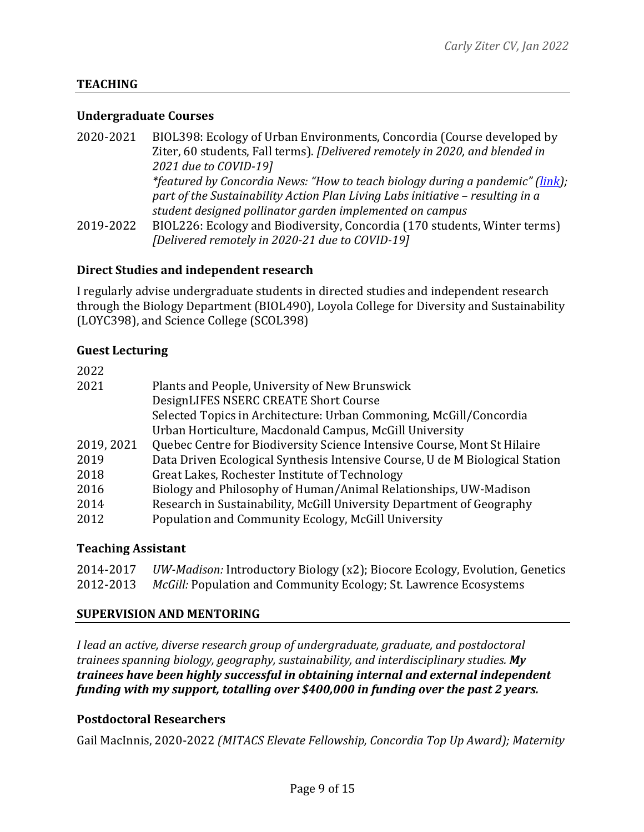## **TEACHING**

#### **Undergraduate Courses**

| 2020-2021 | BIOL398: Ecology of Urban Environments, Concordia (Course developed by         |
|-----------|--------------------------------------------------------------------------------|
|           | Ziter, 60 students, Fall terms). [Delivered remotely in 2020, and blended in   |
|           | 2021 due to COVID-19]                                                          |
|           | *featured by Concordia News: "How to teach biology during a pandemic" (link);  |
|           | part of the Sustainability Action Plan Living Labs initiative - resulting in a |
|           | student designed pollinator garden implemented on campus                       |
| 2019-2022 | BIOL226: Ecology and Biodiversity, Concordia (170 students, Winter terms)      |
|           | [Delivered remotely in 2020-21 due to COVID-19]                                |

#### **Direct Studies and independent research**

I regularly advise undergraduate students in directed studies and independent research through the Biology Department (BIOL490), Loyola College for Diversity and Sustainability (LOYC398), and Science College (SCOL398)

#### **Guest Lecturing**

| 2022       |                                                                              |
|------------|------------------------------------------------------------------------------|
| 2021       | Plants and People, University of New Brunswick                               |
|            | DesignLIFES NSERC CREATE Short Course                                        |
|            | Selected Topics in Architecture: Urban Commoning, McGill/Concordia           |
|            | Urban Horticulture, Macdonald Campus, McGill University                      |
| 2019, 2021 | Quebec Centre for Biodiversity Science Intensive Course, Mont St Hilaire     |
| 2019       | Data Driven Ecological Synthesis Intensive Course, U de M Biological Station |
| 2018       | Great Lakes, Rochester Institute of Technology                               |
| 2016       | Biology and Philosophy of Human/Animal Relationships, UW-Madison             |
| 2014       | Research in Sustainability, McGill University Department of Geography        |
| 2012       | Population and Community Ecology, McGill University                          |
|            |                                                                              |

## **Teaching Assistant**

|           | 2014-2017 UW-Madison: Introductory Biology (x2); Biocore Ecology, Evolution, Genetics |
|-----------|---------------------------------------------------------------------------------------|
| 2012-2013 | McGill: Population and Community Ecology; St. Lawrence Ecosystems                     |

#### **SUPERVISION AND MENTORING**

*I* lead an active, diverse research group of undergraduate, graduate, and postdoctoral trainees spanning biology, geography, sustainability, and interdisciplinary studies. My *trainees have been highly successful in obtaining internal and external independent funding* with my support, totalling over \$400,000 in funding over the past 2 years.

## **Postdoctoral Researchers**

Gail MacInnis, 2020-2022 *(MITACS Elevate Fellowship, Concordia Top Up Award); Maternity*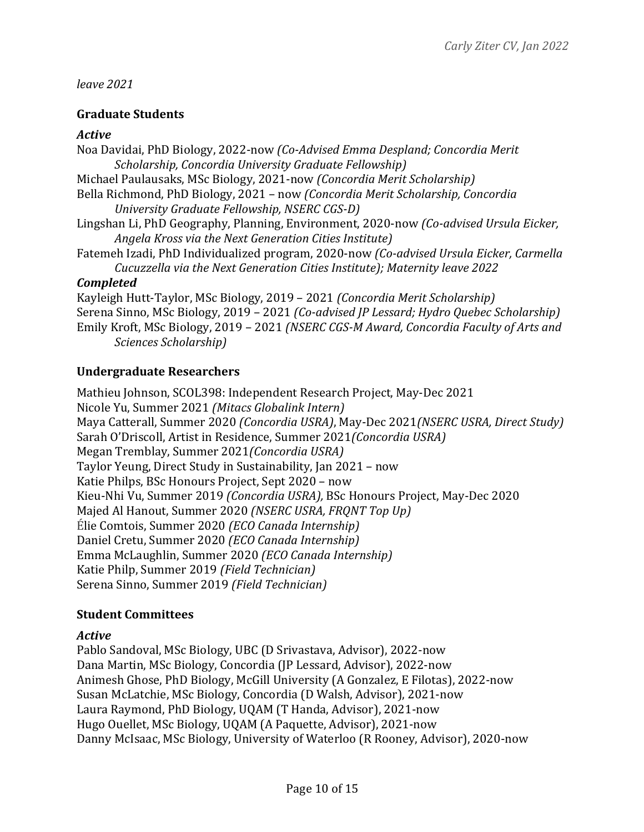## *leave 2021*

## **Graduate Students**

#### *Active*

Noa Davidai, PhD Biology, 2022-now *(Co-Advised Emma Despland; Concordia Merit* Scholarship, Concordia University Graduate Fellowship) Michael Paulausaks, MSc Biology, 2021-now *(Concordia Merit Scholarship)* Bella Richmond, PhD Biology, 2021 - now *(Concordia Merit Scholarship, Concordia University Graduate Fellowship, NSERC CGS-D)* Lingshan Li, PhD Geography, Planning, Environment, 2020-now *(Co-advised Ursula Eicker, Angela Kross via the Next Generation Cities Institute)* Fatemeh Izadi, PhD Individualized program, 2020-now *(Co-advised Ursula Eicker, Carmella Cucuzzella via the Next Generation Cities Institute); Maternity leave 2022 Completed* Kayleigh Hutt-Taylor, MSc Biology, 2019 - 2021 *(Concordia Merit Scholarship)* Serena Sinno, MSc Biology, 2019 - 2021 *(Co-advised JP Lessard; Hydro Quebec Scholarship)* Emily Kroft, MSc Biology, 2019 - 2021 *(NSERC CGS-M Award, Concordia Faculty of Arts and* 

*Sciences Scholarship)*

## **Undergraduate Researchers**

Mathieu Johnson, SCOL398: Independent Research Project, May-Dec 2021 Nicole Yu, Summer 2021 *(Mitacs Globalink Intern)* Maya Catterall, Summer 2020 *(Concordia USRA)*, May-Dec 2021*(NSERC USRA, Direct Study)* Sarah O'Driscoll, Artist in Residence, Summer 2021*(Concordia USRA)* Megan Tremblay, Summer 2021*(Concordia USRA)* Taylor Yeung, Direct Study in Sustainability, Jan 2021 - now Katie Philps, BSc Honours Project, Sept 2020 - now Kieu-Nhi Vu, Summer 2019 *(Concordia USRA)*, BSc Honours Project, May-Dec 2020 Majed Al Hanout, Summer 2020 *(NSERC USRA, FRQNT Top Up)* Élie Comtois, Summer 2020 *(ECO Canada Internship)* Daniel Cretu, Summer 2020 *(ECO Canada Internship)* Emma McLaughlin, Summer 2020 *(ECO Canada Internship)* Katie Philp, Summer 2019 *(Field Technician)* Serena Sinno, Summer 2019 *(Field Technician)*

# **Student Committees**

## *Active*

Pablo Sandoval, MSc Biology, UBC (D Srivastava, Advisor), 2022-now Dana Martin, MSc Biology, Concordia (JP Lessard, Advisor), 2022-now Animesh Ghose, PhD Biology, McGill University (A Gonzalez, E Filotas), 2022-now Susan McLatchie, MSc Biology, Concordia (D Walsh, Advisor), 2021-now Laura Raymond, PhD Biology, UQAM (T Handa, Advisor), 2021-now Hugo Ouellet, MSc Biology, UQAM (A Paquette, Advisor), 2021-now Danny McIsaac, MSc Biology, University of Waterloo (R Rooney, Advisor), 2020-now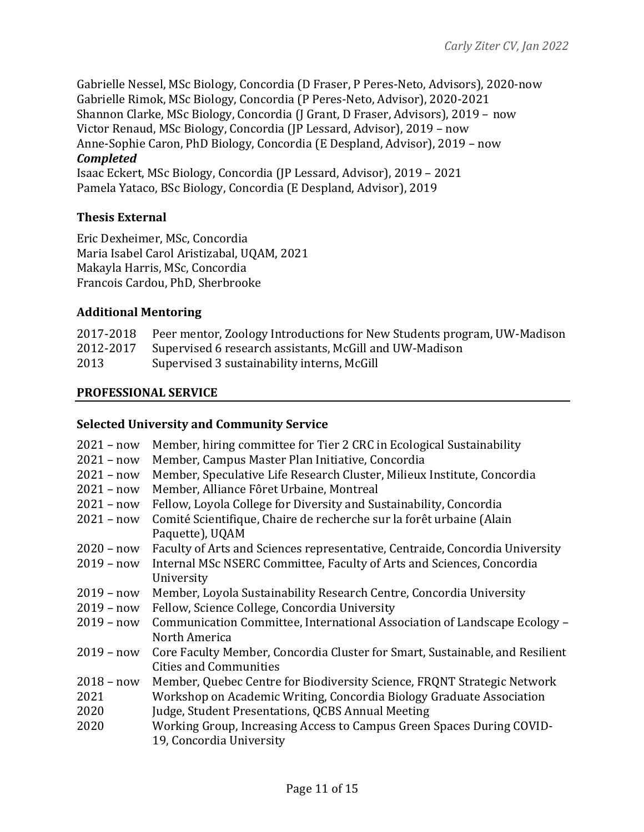Gabrielle Nessel, MSc Biology, Concordia (D Fraser, P Peres-Neto, Advisors), 2020-now Gabrielle Rimok, MSc Biology, Concordia (P Peres-Neto, Advisor), 2020-2021 Shannon Clarke, MSc Biology, Concordia (J Grant, D Fraser, Advisors), 2019 - now Victor Renaud, MSc Biology, Concordia (JP Lessard, Advisor), 2019 - now Anne-Sophie Caron, PhD Biology, Concordia (E Despland, Advisor), 2019 - now *Completed* Isaac Eckert, MSc Biology, Concordia (JP Lessard, Advisor), 2019 - 2021

Pamela Yataco, BSc Biology, Concordia (E Despland, Advisor), 2019

## **Thesis External**

Eric Dexheimer, MSc, Concordia Maria Isabel Carol Aristizabal, UQAM, 2021 Makayla Harris, MSc, Concordia Francois Cardou, PhD, Sherbrooke

## **Additional Mentoring**

|      | 2017-2018 Peer mentor, Zoology Introductions for New Students program, UW-Madison |
|------|-----------------------------------------------------------------------------------|
|      | 2012-2017 Supervised 6 research assistants, McGill and UW-Madison                 |
| 2013 | Supervised 3 sustainability interns, McGill                                       |

## **PROFESSIONAL SERVICE**

## **Selected University and Community Service**

| $2021 - now$ | Member, hiring committee for Tier 2 CRC in Ecological Sustainability         |
|--------------|------------------------------------------------------------------------------|
| $2021 - now$ | Member, Campus Master Plan Initiative, Concordia                             |
| $2021 - now$ | Member, Speculative Life Research Cluster, Milieux Institute, Concordia      |
| $2021 - now$ | Member, Alliance Fôret Urbaine, Montreal                                     |
| $2021 - now$ | Fellow, Loyola College for Diversity and Sustainability, Concordia           |
| $2021 - now$ | Comité Scientifique, Chaire de recherche sur la forêt urbaine (Alain         |
|              | Paquette), UQAM                                                              |
| $2020 - now$ | Faculty of Arts and Sciences representative, Centraide, Concordia University |
| $2019 - now$ | Internal MSc NSERC Committee, Faculty of Arts and Sciences, Concordia        |
|              | University                                                                   |
| $2019 - now$ | Member, Loyola Sustainability Research Centre, Concordia University          |
| $2019 - now$ | Fellow, Science College, Concordia University                                |
| $2019 - now$ | Communication Committee, International Association of Landscape Ecology -    |
|              | North America                                                                |
| $2019 - now$ | Core Faculty Member, Concordia Cluster for Smart, Sustainable, and Resilient |
|              | <b>Cities and Communities</b>                                                |
| $2018 - now$ | Member, Quebec Centre for Biodiversity Science, FRQNT Strategic Network      |
| 2021         | Workshop on Academic Writing, Concordia Biology Graduate Association         |
| 2020         | Judge, Student Presentations, QCBS Annual Meeting                            |
| 2020         | Working Group, Increasing Access to Campus Green Spaces During COVID-        |
|              | 19, Concordia University                                                     |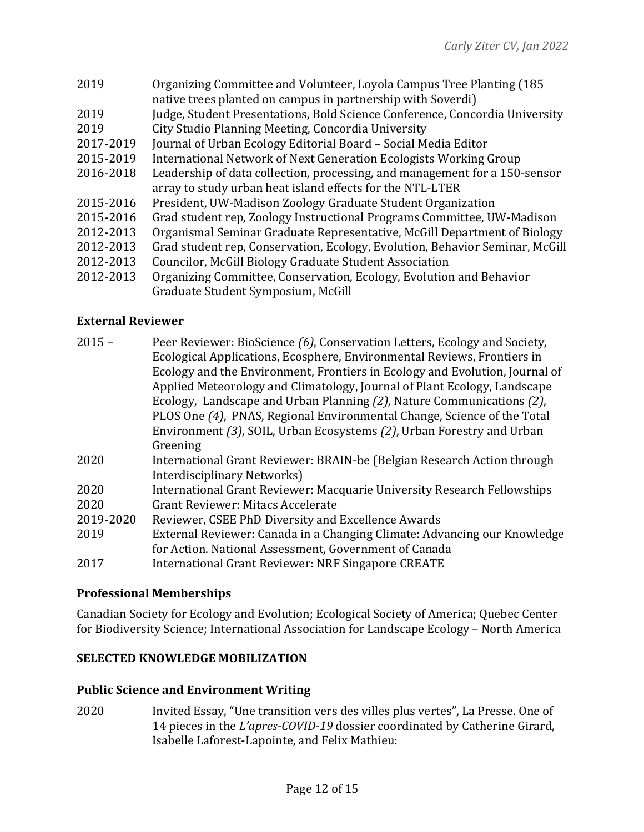| 2019      | Organizing Committee and Volunteer, Loyola Campus Tree Planting (185)<br>native trees planted on campus in partnership with Soverdi) |
|-----------|--------------------------------------------------------------------------------------------------------------------------------------|
| 2019      | Judge, Student Presentations, Bold Science Conference, Concordia University                                                          |
| 2019      | City Studio Planning Meeting, Concordia University                                                                                   |
| 2017-2019 | Journal of Urban Ecology Editorial Board - Social Media Editor                                                                       |
| 2015-2019 | International Network of Next Generation Ecologists Working Group                                                                    |
| 2016-2018 | Leadership of data collection, processing, and management for a 150-sensor                                                           |
|           | array to study urban heat island effects for the NTL-LTER                                                                            |
| 2015-2016 | President, UW-Madison Zoology Graduate Student Organization                                                                          |
| 2015-2016 | Grad student rep, Zoology Instructional Programs Committee, UW-Madison                                                               |
| 2012-2013 | Organismal Seminar Graduate Representative, McGill Department of Biology                                                             |
| 2012-2013 | Grad student rep, Conservation, Ecology, Evolution, Behavior Seminar, McGill                                                         |
| 2012-2013 | Councilor, McGill Biology Graduate Student Association                                                                               |
| 2012-2013 | Organizing Committee, Conservation, Ecology, Evolution and Behavior                                                                  |
|           | Graduate Student Symposium, McGill                                                                                                   |

## **External Reviewer**

| $2015 -$  | Peer Reviewer: BioScience (6), Conservation Letters, Ecology and Society,   |
|-----------|-----------------------------------------------------------------------------|
|           | Ecological Applications, Ecosphere, Environmental Reviews, Frontiers in     |
|           | Ecology and the Environment, Frontiers in Ecology and Evolution, Journal of |
|           | Applied Meteorology and Climatology, Journal of Plant Ecology, Landscape    |
|           | Ecology, Landscape and Urban Planning (2), Nature Communications (2),       |
|           | PLOS One (4), PNAS, Regional Environmental Change, Science of the Total     |
|           | Environment (3), SOIL, Urban Ecosystems (2), Urban Forestry and Urban       |
|           | Greening                                                                    |
| 2020      | International Grant Reviewer: BRAIN-be (Belgian Research Action through     |
|           | Interdisciplinary Networks)                                                 |
| 2020      | International Grant Reviewer: Macquarie University Research Fellowships     |
| 2020      | Grant Reviewer: Mitacs Accelerate                                           |
| 2019-2020 | Reviewer, CSEE PhD Diversity and Excellence Awards                          |
| 2019      | External Reviewer: Canada in a Changing Climate: Advancing our Knowledge    |
|           | for Action. National Assessment, Government of Canada                       |
| 2017      | International Grant Reviewer: NRF Singapore CREATE                          |
|           |                                                                             |

## **Professional Memberships**

Canadian Society for Ecology and Evolution; Ecological Society of America; Quebec Center for Biodiversity Science; International Association for Landscape Ecology - North America

#### **SELECTED KNOWLEDGE MOBILIZATION**

#### **Public Science and Environment Writing**

2020 Invited Essay, "Une transition vers des villes plus vertes", La Presse. One of 14 pieces in the *L'apres-COVID-19* dossier coordinated by Catherine Girard, Isabelle Laforest-Lapointe, and Felix Mathieu: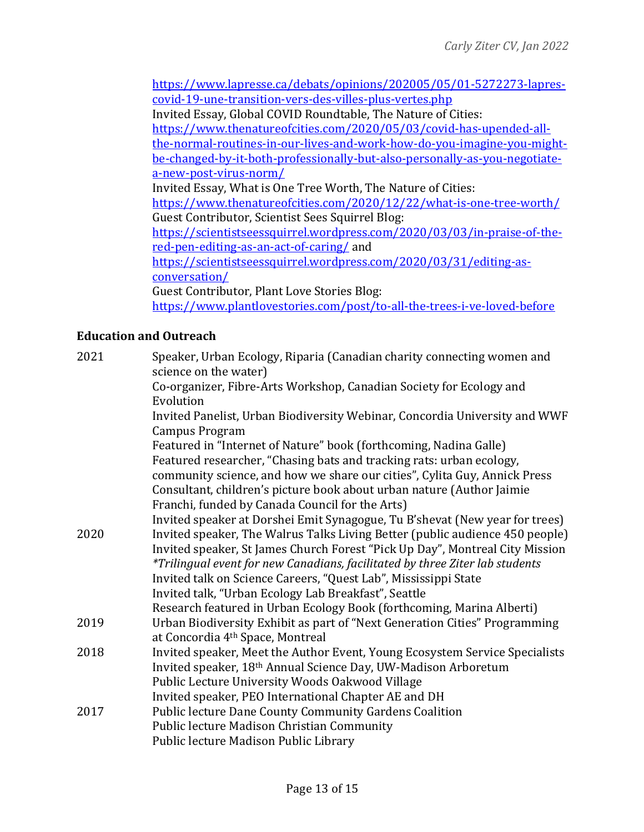https://www.lapresse.ca/debats/opinions/202005/05/01-5272273-laprescovid-19-une-transition-vers-des-villes-plus-vertes.php Invited Essay, Global COVID Roundtable, The Nature of Cities: https://www.thenatureofcities.com/2020/05/03/covid-has-upended-allthe-normal-routines-in-our-lives-and-work-how-do-you-imagine-you-mightbe-changed-by-it-both-professionally-but-also-personally-as-you-negotiatea-new-post-virus-norm/ Invited Essay, What is One Tree Worth, The Nature of Cities: https://www.thenatureofcities.com/2020/12/22/what-is-one-tree-worth/ Guest Contributor, Scientist Sees Squirrel Blog: https://scientistseessquirrel.wordpress.com/2020/03/03/in-praise-of-thered-pen-editing-as-an-act-of-caring/ and https://scientistseessquirrel.wordpress.com/2020/03/31/editing-asconversation/ Guest Contributor, Plant Love Stories Blog: https://www.plantlovestories.com/post/to-all-the-trees-i-ve-loved-before

## **Education and Outreach**

| 2021 | Speaker, Urban Ecology, Riparia (Canadian charity connecting women and<br>science on the water)                                                   |
|------|---------------------------------------------------------------------------------------------------------------------------------------------------|
|      | Co-organizer, Fibre-Arts Workshop, Canadian Society for Ecology and                                                                               |
|      | Evolution                                                                                                                                         |
|      | Invited Panelist, Urban Biodiversity Webinar, Concordia University and WWF<br><b>Campus Program</b>                                               |
|      | Featured in "Internet of Nature" book (forthcoming, Nadina Galle)                                                                                 |
|      | Featured researcher, "Chasing bats and tracking rats: urban ecology,<br>community science, and how we share our cities", Cylita Guy, Annick Press |
|      | Consultant, children's picture book about urban nature (Author Jaimie                                                                             |
|      | Franchi, funded by Canada Council for the Arts)                                                                                                   |
|      | Invited speaker at Dorshei Emit Synagogue, Tu B'shevat (New year for trees)                                                                       |
| 2020 | Invited speaker, The Walrus Talks Living Better (public audience 450 people)                                                                      |
|      | Invited speaker, St James Church Forest "Pick Up Day", Montreal City Mission                                                                      |
|      | *Trilingual event for new Canadians, facilitated by three Ziter lab students                                                                      |
|      | Invited talk on Science Careers, "Quest Lab", Mississippi State                                                                                   |
|      | Invited talk, "Urban Ecology Lab Breakfast", Seattle                                                                                              |
|      | Research featured in Urban Ecology Book (forthcoming, Marina Alberti)                                                                             |
| 2019 | Urban Biodiversity Exhibit as part of "Next Generation Cities" Programming<br>at Concordia 4 <sup>th</sup> Space, Montreal                        |
| 2018 | Invited speaker, Meet the Author Event, Young Ecosystem Service Specialists                                                                       |
|      | Invited speaker, 18th Annual Science Day, UW-Madison Arboretum                                                                                    |
|      | Public Lecture University Woods Oakwood Village                                                                                                   |
|      | Invited speaker, PEO International Chapter AE and DH                                                                                              |
| 2017 | Public lecture Dane County Community Gardens Coalition                                                                                            |
|      | Public lecture Madison Christian Community                                                                                                        |
|      | Public lecture Madison Public Library                                                                                                             |
|      |                                                                                                                                                   |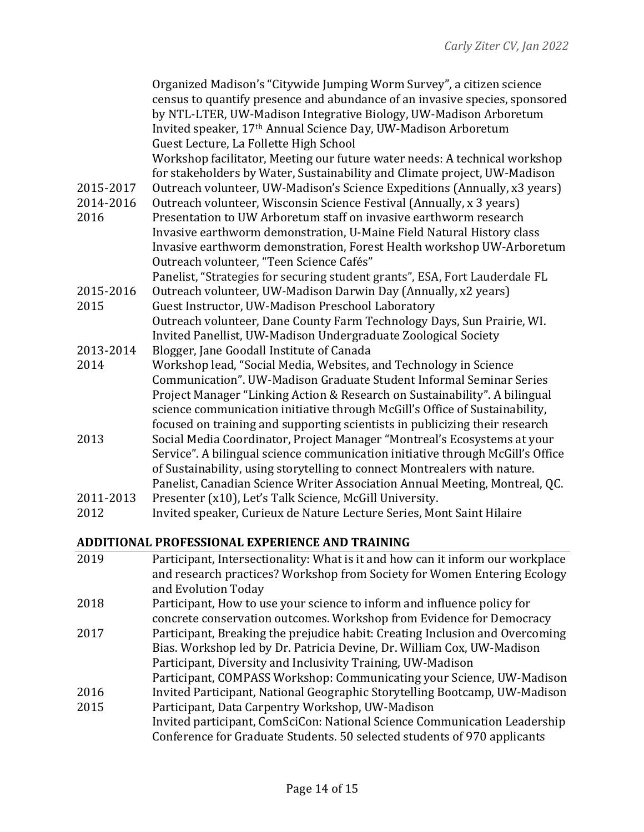|                        | Organized Madison's "Citywide Jumping Worm Survey", a citizen science<br>census to quantify presence and abundance of an invasive species, sponsored<br>by NTL-LTER, UW-Madison Integrative Biology, UW-Madison Arboretum<br>Invited speaker, 17th Annual Science Day, UW-Madison Arboretum<br>Guest Lecture, La Follette High School |
|------------------------|---------------------------------------------------------------------------------------------------------------------------------------------------------------------------------------------------------------------------------------------------------------------------------------------------------------------------------------|
|                        | Workshop facilitator, Meeting our future water needs: A technical workshop<br>for stakeholders by Water, Sustainability and Climate project, UW-Madison                                                                                                                                                                               |
| 2015-2017<br>2014-2016 | Outreach volunteer, UW-Madison's Science Expeditions (Annually, x3 years)<br>Outreach volunteer, Wisconsin Science Festival (Annually, x 3 years)                                                                                                                                                                                     |
| 2016                   | Presentation to UW Arboretum staff on invasive earthworm research<br>Invasive earthworm demonstration, U-Maine Field Natural History class                                                                                                                                                                                            |
|                        | Invasive earthworm demonstration, Forest Health workshop UW-Arboretum<br>Outreach volunteer, "Teen Science Cafés"                                                                                                                                                                                                                     |
|                        | Panelist, "Strategies for securing student grants", ESA, Fort Lauderdale FL                                                                                                                                                                                                                                                           |
| 2015-2016              | Outreach volunteer, UW-Madison Darwin Day (Annually, x2 years)                                                                                                                                                                                                                                                                        |
| 2015                   | Guest Instructor, UW-Madison Preschool Laboratory                                                                                                                                                                                                                                                                                     |
|                        | Outreach volunteer, Dane County Farm Technology Days, Sun Prairie, WI.<br>Invited Panellist, UW-Madison Undergraduate Zoological Society                                                                                                                                                                                              |
| 2013-2014              | Blogger, Jane Goodall Institute of Canada                                                                                                                                                                                                                                                                                             |
| 2014                   | Workshop lead, "Social Media, Websites, and Technology in Science<br>Communication". UW-Madison Graduate Student Informal Seminar Series<br>Project Manager "Linking Action & Research on Sustainability". A bilingual                                                                                                                |
|                        | science communication initiative through McGill's Office of Sustainability,<br>focused on training and supporting scientists in publicizing their research                                                                                                                                                                            |
| 2013                   | Social Media Coordinator, Project Manager "Montreal's Ecosystems at your                                                                                                                                                                                                                                                              |
|                        | Service". A bilingual science communication initiative through McGill's Office<br>of Sustainability, using storytelling to connect Montrealers with nature.                                                                                                                                                                           |
|                        | Panelist, Canadian Science Writer Association Annual Meeting, Montreal, QC.                                                                                                                                                                                                                                                           |
| 2011-2013              | Presenter (x10), Let's Talk Science, McGill University.                                                                                                                                                                                                                                                                               |
| 2012                   | Invited speaker, Curieux de Nature Lecture Series, Mont Saint Hilaire                                                                                                                                                                                                                                                                 |
|                        |                                                                                                                                                                                                                                                                                                                                       |

# **ADDITIONAL PROFESSIONAL EXPERIENCE AND TRAINING**

| 2019 | Participant, Intersectionality: What is it and how can it inform our workplace |
|------|--------------------------------------------------------------------------------|
|      | and research practices? Workshop from Society for Women Entering Ecology       |
|      | and Evolution Today                                                            |
| 2018 | Participant, How to use your science to inform and influence policy for        |
|      | concrete conservation outcomes. Workshop from Evidence for Democracy           |
| 2017 | Participant, Breaking the prejudice habit: Creating Inclusion and Overcoming   |
|      | Bias. Workshop led by Dr. Patricia Devine, Dr. William Cox, UW-Madison         |
|      | Participant, Diversity and Inclusivity Training, UW-Madison                    |
|      | Participant, COMPASS Workshop: Communicating your Science, UW-Madison          |
| 2016 | Invited Participant, National Geographic Storytelling Bootcamp, UW-Madison     |
| 2015 | Participant, Data Carpentry Workshop, UW-Madison                               |
|      | Invited participant, ComSciCon: National Science Communication Leadership      |
|      | Conference for Graduate Students. 50 selected students of 970 applicants       |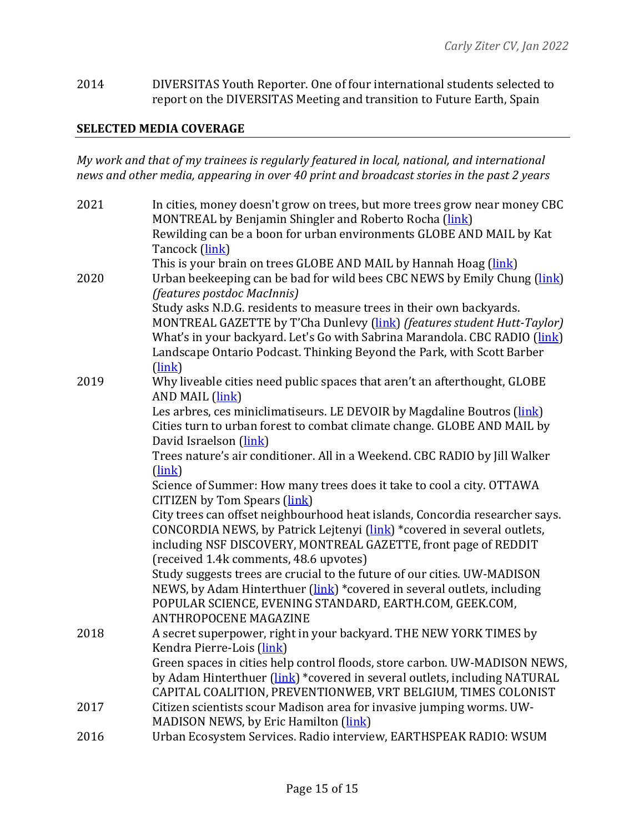2014 DIVERSITAS Youth Reporter. One of four international students selected to report on the DIVERSITAS Meeting and transition to Future Earth, Spain

#### **SELECTED MEDIA COVERAGE**

*My* work and that of my trainees is regularly featured in local, national, and international news and other media, appearing in over 40 print and broadcast stories in the past 2 years

| 2021 | In cities, money doesn't grow on trees, but more trees grow near money CBC<br>MONTREAL by Benjamin Shingler and Roberto Rocha (link)<br>Rewilding can be a boon for urban environments GLOBE AND MAIL by Kat<br>Tancock (link)                                                                                    |
|------|-------------------------------------------------------------------------------------------------------------------------------------------------------------------------------------------------------------------------------------------------------------------------------------------------------------------|
| 2020 | This is your brain on trees GLOBE AND MAIL by Hannah Hoag (link)<br>Urban beekeeping can be bad for wild bees CBC NEWS by Emily Chung (link)<br>(features postdoc MacInnis)                                                                                                                                       |
|      | Study asks N.D.G. residents to measure trees in their own backyards.<br>MONTREAL GAZETTE by T'Cha Dunlevy (link) (features student Hutt-Taylor)<br>What's in your backyard. Let's Go with Sabrina Marandola. CBC RADIO (link)<br>Landscape Ontario Podcast. Thinking Beyond the Park, with Scott Barber<br>(link) |
| 2019 | Why liveable cities need public spaces that aren't an afterthought, GLOBE<br>AND MAIL (link)                                                                                                                                                                                                                      |
|      | Les arbres, ces miniclimatiseurs. LE DEVOIR by Magdaline Boutros (link)<br>Cities turn to urban forest to combat climate change. GLOBE AND MAIL by<br>David Israelson (link)                                                                                                                                      |
|      | Trees nature's air conditioner. All in a Weekend. CBC RADIO by Jill Walker<br>(link)                                                                                                                                                                                                                              |
|      | Science of Summer: How many trees does it take to cool a city. OTTAWA<br>CITIZEN by Tom Spears (link)                                                                                                                                                                                                             |
|      | City trees can offset neighbourhood heat islands, Concordia researcher says.<br>CONCORDIA NEWS, by Patrick Lejtenyi (link) *covered in several outlets,<br>including NSF DISCOVERY, MONTREAL GAZETTE, front page of REDDIT<br>(received 1.4k comments, 48.6 upvotes)                                              |
|      | Study suggests trees are crucial to the future of our cities. UW-MADISON<br>NEWS, by Adam Hinterthuer (link) *covered in several outlets, including<br>POPULAR SCIENCE, EVENING STANDARD, EARTH.COM, GEEK.COM,<br><b>ANTHROPOCENE MAGAZINE</b>                                                                    |
| 2018 | A secret superpower, right in your backyard. THE NEW YORK TIMES by<br>Kendra Pierre-Lois (link)<br>Green spaces in cities help control floods, store carbon. UW-MADISON NEWS,                                                                                                                                     |
|      | by Adam Hinterthuer (link) *covered in several outlets, including NATURAL<br>CAPITAL COALITION, PREVENTIONWEB, VRT BELGIUM, TIMES COLONIST                                                                                                                                                                        |
| 2017 | Citizen scientists scour Madison area for invasive jumping worms. UW-<br>MADISON NEWS, by Eric Hamilton (link)                                                                                                                                                                                                    |
| 2016 | Urban Ecosystem Services. Radio interview, EARTHSPEAK RADIO: WSUM                                                                                                                                                                                                                                                 |